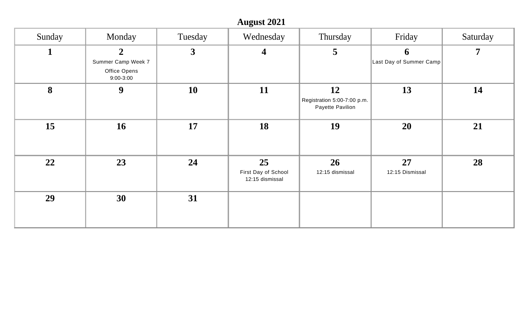|              |                                                                   |              | <b>August 2021</b>                           |                                                       |                              |                |
|--------------|-------------------------------------------------------------------|--------------|----------------------------------------------|-------------------------------------------------------|------------------------------|----------------|
| Sunday       | Monday                                                            | Tuesday      | Wednesday                                    | Thursday                                              | Friday                       | Saturday       |
| $\mathbf{1}$ | $\overline{2}$<br>Summer Camp Week 7<br>Office Opens<br>9:00-3:00 | $\mathbf{3}$ | $\overline{\mathbf{4}}$                      | $\overline{5}$                                        | 6<br>Last Day of Summer Camp | $\overline{7}$ |
| 8            | $\boldsymbol{9}$                                                  | <b>10</b>    | 11                                           | 12<br>Registration 5:00-7:00 p.m.<br>Payette Pavilion | 13                           | 14             |
| 15           | <b>16</b>                                                         | 17           | 18                                           | 19                                                    | 20                           | 21             |
| 22           | 23                                                                | 24           | 25<br>First Day of School<br>12:15 dismissal | 26<br>12:15 dismissal                                 | 27<br>12:15 Dismissal        | 28             |
| 29           | 30                                                                | 31           |                                              |                                                       |                              |                |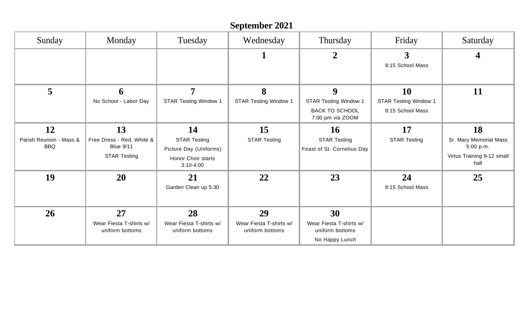## **September 2021**

| Sunday                                      | Monday                                                                     | Tuesday                                                                                  | Wednesday                                        | Thursday                                                                       | Friday                                                 | Saturday                                                                        |
|---------------------------------------------|----------------------------------------------------------------------------|------------------------------------------------------------------------------------------|--------------------------------------------------|--------------------------------------------------------------------------------|--------------------------------------------------------|---------------------------------------------------------------------------------|
|                                             |                                                                            |                                                                                          | п.                                               | $\overline{2}$                                                                 | 3<br>8:15 School Mass                                  |                                                                                 |
| 5                                           | 6<br>No School - Labor Day                                                 | $\overline{7}$<br><b>STAR Testing Window 1</b>                                           | 8<br><b>STAR Testing Window 1</b>                | 9<br><b>STAR Testing Window 1</b><br><b>BACK TO SCHOOL</b><br>7:00 pm via ZOOM | 10<br><b>STAR Testing Window 1</b><br>8:15 School Mass | 11                                                                              |
| 12<br>Parish Reunion - Mass &<br><b>BBQ</b> | 13<br>Free Dress - Red, White &<br><b>Blue 9/11</b><br><b>STAR Testing</b> | 14<br><b>STAR Testing</b><br>Picture Day (Uniforms)<br>Honor Choir starts<br>$3:10-4:00$ | 15<br><b>STAR Testing</b>                        | <b>16</b><br><b>STAR Testing</b><br>Feast of St. Cornelius Day                 | 17<br><b>STAR Testing</b>                              | 18<br>Sr. Mary Memorial Mass<br>5:00 p.m.<br>Virtus Training 9-12 small<br>hall |
| 19                                          | 20                                                                         | 21<br>Garden Clean up 5:30                                                               | 22                                               | 23                                                                             | 24<br>8:15 School Mass                                 | 25                                                                              |
| 26                                          | 27<br>Wear Fiesta T-shirts w/<br>uniform bottoms                           | 28<br>Wear Fiesta T-shirts w/<br>uniform bottoms                                         | 29<br>Wear Fiesta T-shirts w/<br>uniform bottoms | 30<br>Wear Fiesta T-shirts w/<br>uniform bottoms<br>No Happy Lunch             |                                                        |                                                                                 |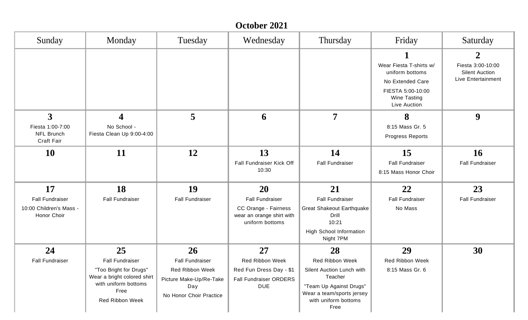## **October 2021**

| Sunday                                                                 | Monday                                                                                                                                   | Tuesday                                                                                                      | Wednesday                                                                                                   | Thursday                                                                                                                                                     | Friday                                                                                                              | Saturday                                                                        |
|------------------------------------------------------------------------|------------------------------------------------------------------------------------------------------------------------------------------|--------------------------------------------------------------------------------------------------------------|-------------------------------------------------------------------------------------------------------------|--------------------------------------------------------------------------------------------------------------------------------------------------------------|---------------------------------------------------------------------------------------------------------------------|---------------------------------------------------------------------------------|
|                                                                        |                                                                                                                                          |                                                                                                              |                                                                                                             |                                                                                                                                                              | Wear Fiesta T-shirts w/<br>uniform bottoms<br>No Extended Care<br>FIESTA 5:00-10:00<br>Wine Tasting<br>Live Auction | $\mathbf 2$<br>Fiesta 3:00-10:00<br><b>Silent Auction</b><br>Live Entertainment |
| $\overline{3}$<br>Fiesta 1:00-7:00<br><b>NFL Brunch</b><br>Craft Fair  | 4<br>No School -<br>Fiesta Clean Up 9:00-4:00                                                                                            | 5                                                                                                            | 6                                                                                                           | $\overline{7}$                                                                                                                                               | 8<br>8:15 Mass Gr. 5<br>Progress Reports                                                                            | 9                                                                               |
| <b>10</b>                                                              | 11                                                                                                                                       | 12                                                                                                           | 13<br>Fall Fundraiser Kick Off<br>10:30                                                                     | 14<br><b>Fall Fundraiser</b>                                                                                                                                 | 15<br><b>Fall Fundraiser</b><br>8:15 Mass Honor Choir                                                               | <b>16</b><br><b>Fall Fundraiser</b>                                             |
| 17<br><b>Fall Fundraiser</b><br>10:00 Children's Mass -<br>Honor Choir | 18<br><b>Fall Fundraiser</b>                                                                                                             | 19<br><b>Fall Fundraiser</b>                                                                                 | <b>20</b><br><b>Fall Fundraiser</b><br>CC Orange - Fairness<br>wear an orange shirt with<br>uniform bottoms | 21<br><b>Fall Fundraiser</b><br><b>Great Shakeout Earthquake</b><br>Drill<br>10:21<br><b>High School Information</b><br>Night 7PM                            | 22<br><b>Fall Fundraiser</b><br>No Mass                                                                             | 23<br><b>Fall Fundraiser</b>                                                    |
| 24<br><b>Fall Fundraiser</b>                                           | 25<br><b>Fall Fundraiser</b><br>"Too Bright for Drugs"<br>Wear a bright colored shirt<br>with uniform bottoms<br>Free<br>Red Ribbon Week | 26<br><b>Fall Fundraiser</b><br>Red Ribbon Week<br>Picture Make-Up/Re-Take<br>Day<br>No Honor Choir Practice | 27<br>Red Ribbon Week<br>Red Fun Dress Day - \$1<br><b>Fall Fundraiser ORDERS</b><br><b>DUE</b>             | 28<br><b>Red Ribbon Week</b><br>Silent Auction Lunch with<br>Teacher<br>"Team Up Against Drugs"<br>Wear a team/sports jersey<br>with uniform bottoms<br>Free | 29<br>Red Ribbon Week<br>8:15 Mass Gr. 6                                                                            | 30                                                                              |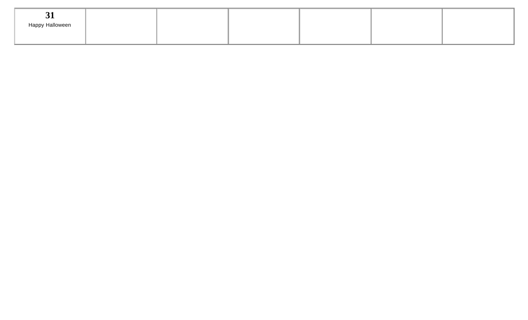| $\bm{\sigma}$   |  |  |  |
|-----------------|--|--|--|
| Happy Halloween |  |  |  |
|                 |  |  |  |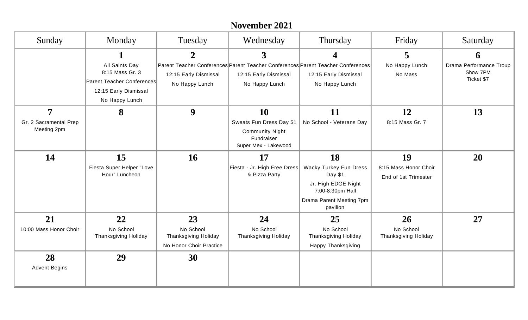|                                                         |                                                                                                            |                                                                           | November 2021                                                                                         |                                                                                                                                   |                                                     |                                                        |
|---------------------------------------------------------|------------------------------------------------------------------------------------------------------------|---------------------------------------------------------------------------|-------------------------------------------------------------------------------------------------------|-----------------------------------------------------------------------------------------------------------------------------------|-----------------------------------------------------|--------------------------------------------------------|
| Sunday                                                  | Monday                                                                                                     | Tuesday                                                                   | Wednesday                                                                                             | Thursday                                                                                                                          | Friday                                              | Saturday                                               |
|                                                         | All Saints Day<br>8:15 Mass Gr. 3<br>Parent Teacher Conferences<br>12:15 Early Dismissal<br>No Happy Lunch | $\mathbf{2}$<br>12:15 Early Dismissal<br>No Happy Lunch                   | 3<br>12:15 Early Dismissal<br>No Happy Lunch                                                          | 4<br>Parent Teacher Conferences Parent Teacher Conferences Parent Teacher Conferences<br>12:15 Early Dismissal<br>No Happy Lunch  | 5<br>No Happy Lunch<br>No Mass                      | 6<br>Drama Performance Troup<br>Show 7PM<br>Ticket \$7 |
| $\overline{7}$<br>Gr. 2 Sacramental Prep<br>Meeting 2pm | 8                                                                                                          | 9                                                                         | <b>10</b><br>Sweats Fun Dress Day \$1<br><b>Community Night</b><br>Fundraiser<br>Super Mex - Lakewood | 11<br>No School - Veterans Day                                                                                                    | 12<br>8:15 Mass Gr. 7                               | 13                                                     |
| 14                                                      | 15<br>Fiesta Super Helper "Love<br>Hour" Luncheon                                                          | 16                                                                        | 17<br>Fiesta - Jr. High Free Dress<br>& Pizza Party                                                   | 18<br><b>Wacky Turkey Fun Dress</b><br>Day \$1<br>Jr. High EDGE Night<br>7:00-8:30pm Hall<br>Drama Parent Meeting 7pm<br>pavilion | 19<br>8:15 Mass Honor Choir<br>End of 1st Trimester | 20                                                     |
| 21<br>10:00 Mass Honor Choir                            | 22<br>No School<br><b>Thanksgiving Holiday</b>                                                             | 23<br>No School<br><b>Thanksgiving Holiday</b><br>No Honor Choir Practice | 24<br>No School<br><b>Thanksgiving Holiday</b>                                                        | 25<br>No School<br><b>Thanksgiving Holiday</b><br><b>Happy Thanksgiving</b>                                                       | 26<br>No School<br><b>Thanksgiving Holiday</b>      | 27                                                     |
| 28<br><b>Advent Begins</b>                              | 29                                                                                                         | 30                                                                        |                                                                                                       |                                                                                                                                   |                                                     |                                                        |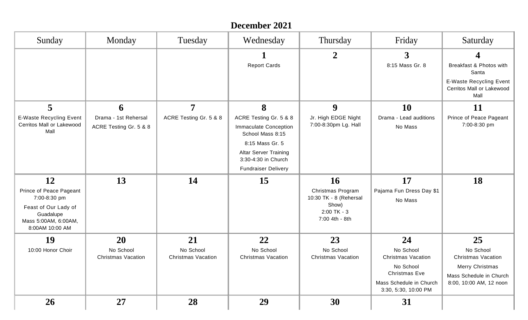|                                                                                                                               |                                                |                                        | December 2021                                                              |                                                                                                      |                                                                  |                                                                     |
|-------------------------------------------------------------------------------------------------------------------------------|------------------------------------------------|----------------------------------------|----------------------------------------------------------------------------|------------------------------------------------------------------------------------------------------|------------------------------------------------------------------|---------------------------------------------------------------------|
| Sunday                                                                                                                        | Monday                                         | Tuesday                                | Wednesday                                                                  | Thursday                                                                                             | Friday                                                           | Saturday                                                            |
|                                                                                                                               |                                                |                                        | <b>Report Cards</b>                                                        | $\overline{2}$                                                                                       | $\mathbf{3}$<br>8:15 Mass Gr. 8                                  | 4<br>Breakfast & Photos with<br>Santa                               |
|                                                                                                                               |                                                |                                        |                                                                            |                                                                                                      |                                                                  | <b>E-Waste Recycling Event</b><br>Cerritos Mall or Lakewood<br>Mall |
| 5                                                                                                                             | 6                                              | 7                                      | 8                                                                          | 9                                                                                                    | <b>10</b>                                                        | <b>11</b>                                                           |
| <b>E-Waste Recycling Event</b><br>Cerritos Mall or Lakewood<br>Mall                                                           | Drama - 1st Rehersal<br>ACRE Testing Gr. 5 & 8 | ACRE Testing Gr. 5 & 8                 | ACRE Testing Gr. 5 & 8<br><b>Immaculate Conception</b><br>School Mass 8:15 | Jr. High EDGE Night<br>7:00-8:30pm Lg. Hall                                                          | Drama - Lead auditions<br>No Mass                                | Prince of Peace Pageant<br>7:00-8:30 pm                             |
|                                                                                                                               |                                                |                                        | 8:15 Mass Gr. 5                                                            |                                                                                                      |                                                                  |                                                                     |
|                                                                                                                               |                                                |                                        | <b>Altar Server Training</b><br>3:30-4:30 in Church                        |                                                                                                      |                                                                  |                                                                     |
|                                                                                                                               |                                                |                                        | <b>Fundraiser Delivery</b>                                                 |                                                                                                      |                                                                  |                                                                     |
| 12<br>Prince of Peace Pageant<br>7:00-8:30 pm<br>Feast of Our Lady of<br>Guadalupe<br>Mass 5:00AM, 6:00AM,<br>8:00AM 10:00 AM | 13                                             | 14                                     | 15                                                                         | <b>16</b><br>Christmas Program<br>10:30 TK - 8 (Rehersal<br>Show)<br>$2:00$ TK - 3<br>7:00 4th - 8th | 17<br>Pajama Fun Dress Day \$1<br>No Mass                        | 18                                                                  |
| 19                                                                                                                            | 20                                             | 21                                     | 22                                                                         | 23                                                                                                   | 24                                                               | 25                                                                  |
| 10:00 Honor Choir                                                                                                             | No School<br><b>Christmas Vacation</b>         | No School<br><b>Christmas Vacation</b> | No School<br><b>Christmas Vacation</b>                                     | No School<br><b>Christmas Vacation</b>                                                               | No School<br><b>Christmas Vacation</b><br>No School              | No School<br><b>Christmas Vacation</b><br><b>Merry Christmas</b>    |
|                                                                                                                               |                                                |                                        |                                                                            |                                                                                                      | Christmas Eve<br>Mass Schedule in Church<br>3:30, 5:30, 10:00 PM | Mass Schedule in Church<br>8:00, 10:00 AM, 12 noon                  |
| <b>26</b>                                                                                                                     | <b>27</b>                                      | 28                                     | 29                                                                         | 30                                                                                                   | 31                                                               |                                                                     |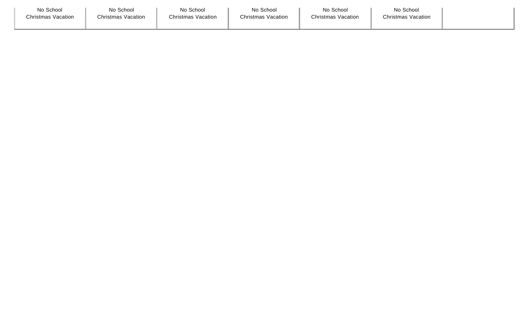| No School                 | No School                 | No School                 | No School                 | No School                 | No School                 |
|---------------------------|---------------------------|---------------------------|---------------------------|---------------------------|---------------------------|
| <b>Christmas Vacation</b> | <b>Christmas Vacation</b> | <b>Christmas Vacation</b> | <b>Christmas Vacation</b> | <b>Christmas Vacation</b> | <b>Christmas Vacation</b> |
|                           |                           |                           |                           |                           |                           |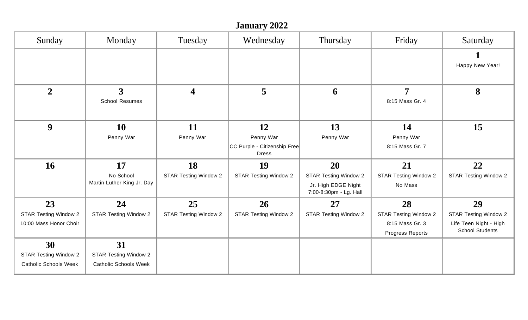|                              | <b>January 2022</b>                     |                              |                                                           |                                                                               |                                         |                                                  |  |  |  |
|------------------------------|-----------------------------------------|------------------------------|-----------------------------------------------------------|-------------------------------------------------------------------------------|-----------------------------------------|--------------------------------------------------|--|--|--|
| Sunday                       | Monday                                  | Tuesday                      | Wednesday                                                 | Thursday                                                                      | Friday                                  | Saturday                                         |  |  |  |
|                              |                                         |                              |                                                           |                                                                               |                                         | Happy New Year!                                  |  |  |  |
| $\overline{2}$               | $\mathbf{3}$<br><b>School Resumes</b>   | $\overline{\mathbf{4}}$      | 5                                                         | 6                                                                             | $\overline{7}$<br>8:15 Mass Gr. 4       | 8                                                |  |  |  |
| 9                            | 10                                      | 11                           | 12                                                        | 13                                                                            | 14                                      | 15                                               |  |  |  |
|                              | Penny War                               | Penny War                    | Penny War<br>CC Purple - Citizenship Free<br><b>Dress</b> | Penny War                                                                     | Penny War<br>8:15 Mass Gr. 7            |                                                  |  |  |  |
| <b>16</b>                    | 17                                      | 18                           | 19                                                        | 20                                                                            | 21                                      | 22                                               |  |  |  |
|                              | No School<br>Martin Luther King Jr. Day | <b>STAR Testing Window 2</b> | <b>STAR Testing Window 2</b>                              | <b>STAR Testing Window 2</b><br>Jr. High EDGE Night<br>7:00-8:30pm - Lg. Hall | <b>STAR Testing Window 2</b><br>No Mass | <b>STAR Testing Window 2</b>                     |  |  |  |
| 23                           | 24                                      | 25                           | <b>26</b>                                                 | 27                                                                            | 28                                      | 29                                               |  |  |  |
| <b>STAR Testing Window 2</b> | <b>STAR Testing Window 2</b>            | <b>STAR Testing Window 2</b> | <b>STAR Testing Window 2</b>                              | <b>STAR Testing Window 2</b>                                                  | <b>STAR Testing Window 2</b>            | <b>STAR Testing Window 2</b>                     |  |  |  |
| 10:00 Mass Honor Choir       |                                         |                              |                                                           |                                                                               | 8:15 Mass Gr. 3<br>Progress Reports     | Life Teen Night - High<br><b>School Students</b> |  |  |  |
| 30                           | 31                                      |                              |                                                           |                                                                               |                                         |                                                  |  |  |  |
| <b>STAR Testing Window 2</b> | <b>STAR Testing Window 2</b>            |                              |                                                           |                                                                               |                                         |                                                  |  |  |  |
| <b>Catholic Schools Week</b> | <b>Catholic Schools Week</b>            |                              |                                                           |                                                                               |                                         |                                                  |  |  |  |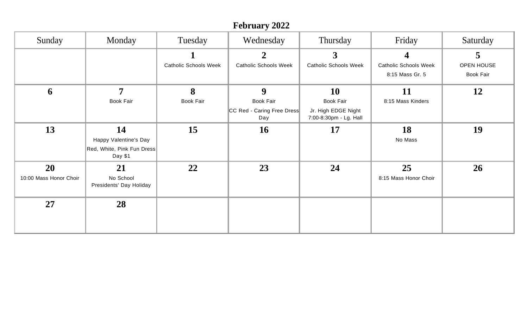|                              |                                                                      |                              | <b>February 2022</b>              |                                               |                              |                  |
|------------------------------|----------------------------------------------------------------------|------------------------------|-----------------------------------|-----------------------------------------------|------------------------------|------------------|
| Sunday                       | Monday                                                               | Tuesday                      | Wednesday                         | Thursday                                      | Friday                       | Saturday         |
|                              |                                                                      |                              | $\boldsymbol{2}$                  | $3\overline{)}$                               | $\overline{\mathbf{4}}$      | 5                |
|                              |                                                                      | <b>Catholic Schools Week</b> | <b>Catholic Schools Week</b>      | <b>Catholic Schools Week</b>                  | <b>Catholic Schools Week</b> | OPEN HOUSE       |
|                              |                                                                      |                              |                                   |                                               | 8:15 Mass Gr. 5              | <b>Book Fair</b> |
| 6                            | $\overline{7}$                                                       | 8                            | 9                                 | <b>10</b>                                     | 11                           | 12               |
|                              | <b>Book Fair</b>                                                     | <b>Book Fair</b>             | Book Fair                         | <b>Book Fair</b>                              | 8:15 Mass Kinders            |                  |
|                              |                                                                      |                              | CC Red - Caring Free Dress<br>Day | Jr. High EDGE Night<br>7:00-8:30pm - Lg. Hall |                              |                  |
| 13                           | 14<br>Happy Valentine's Day<br>Red, White, Pink Fun Dress<br>Day \$1 | 15                           | <b>16</b>                         | 17                                            | 18<br>No Mass                | 19               |
| 20<br>10:00 Mass Honor Choir | 21<br>No School<br>Presidents' Day Holiday                           | 22                           | 23                                | 24                                            | 25<br>8:15 Mass Honor Choir  | 26               |
| 27                           | 28                                                                   |                              |                                   |                                               |                              |                  |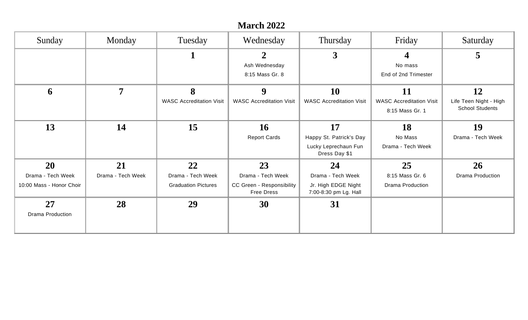| <b>March 2022</b>        |                   |                                 |                                                |                                              |                                                    |                                                  |  |  |
|--------------------------|-------------------|---------------------------------|------------------------------------------------|----------------------------------------------|----------------------------------------------------|--------------------------------------------------|--|--|
| Sunday                   | Monday            | Tuesday                         | Wednesday                                      | Thursday                                     | Friday                                             | Saturday                                         |  |  |
|                          |                   | 1                               | $\overline{2}$                                 | $\overline{3}$                               | $\boldsymbol{4}$                                   | 5                                                |  |  |
|                          |                   |                                 | Ash Wednesday                                  |                                              | No mass                                            |                                                  |  |  |
|                          |                   |                                 | 8:15 Mass Gr. 8                                |                                              | End of 2nd Trimester                               |                                                  |  |  |
| 6                        | 7                 | 8                               | 9                                              | <b>10</b>                                    | 11                                                 | 12                                               |  |  |
|                          |                   | <b>WASC Accreditation Visit</b> | <b>WASC Accreditation Visit</b>                | <b>WASC Accreditation Visit</b>              | <b>WASC Accreditation Visit</b><br>8:15 Mass Gr. 1 | Life Teen Night - High<br><b>School Students</b> |  |  |
| 13                       | 14                | 15                              | <b>16</b>                                      | 17                                           | 18                                                 | <b>19</b>                                        |  |  |
|                          |                   |                                 | <b>Report Cards</b>                            | Happy St. Patrick's Day                      | No Mass                                            | Drama - Tech Week                                |  |  |
|                          |                   |                                 |                                                | Lucky Leprechaun Fun<br>Dress Day \$1        | Drama - Tech Week                                  |                                                  |  |  |
| 20                       | 21                | 22                              | 23                                             | 24                                           | 25                                                 | 26                                               |  |  |
| Drama - Tech Week        | Drama - Tech Week | Drama - Tech Week               | Drama - Tech Week                              | Drama - Tech Week                            | 8:15 Mass Gr. 6                                    | <b>Drama Production</b>                          |  |  |
| 10:00 Mass - Honor Choir |                   | <b>Graduation Pictures</b>      | CC Green - Responsibility<br><b>Free Dress</b> | Jr. High EDGE Night<br>7:00-8:30 pm Lg. Hall | Drama Production                                   |                                                  |  |  |
| 27                       | 28                | 29                              | 30                                             | 31                                           |                                                    |                                                  |  |  |
| <b>Drama Production</b>  |                   |                                 |                                                |                                              |                                                    |                                                  |  |  |
|                          |                   |                                 |                                                |                                              |                                                    |                                                  |  |  |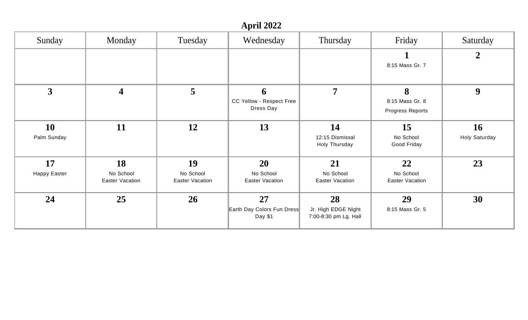## **April 2022**

| Sunday                    | Monday                                    | Tuesday                                   | Wednesday                                        | Thursday                                           | Friday                                    | Saturday                   |
|---------------------------|-------------------------------------------|-------------------------------------------|--------------------------------------------------|----------------------------------------------------|-------------------------------------------|----------------------------|
|                           |                                           |                                           |                                                  |                                                    | $\mathbf 1$<br>8:15 Mass Gr. 7            | $\boldsymbol{2}$           |
| $\overline{\mathbf{3}}$   | $\boldsymbol{4}$                          | 5                                         | 6<br>CC Yellow - Respect Free<br>Dress Day       | $\overline{7}$                                     | 8<br>8:15 Mass Gr. 8<br>Progress Reports  | 9                          |
| <b>10</b><br>Palm Sunday  | 11                                        | 12                                        | 13                                               | 14<br>12:15 Dismissal<br>Holy Thursday             | 15<br>No School<br>Good Friday            | <b>16</b><br>Holy Saturday |
| 17<br><b>Happy Easter</b> | 18<br>No School<br><b>Easter Vacation</b> | 19<br>No School<br><b>Easter Vacation</b> | <b>20</b><br>No School<br><b>Easter Vacation</b> | 21<br>No School<br><b>Easter Vacation</b>          | 22<br>No School<br><b>Easter Vacation</b> | 23                         |
| 24                        | 25                                        | 26                                        | 27<br>Earth Day Colors Fun Dress<br>Day \$1      | 28<br>Jr. High EDGE Night<br>7:00-8:30 pm Lg. Hall | 29<br>8:15 Mass Gr. 5                     | 30                         |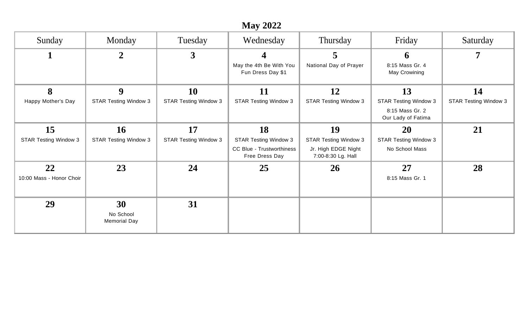|                                    |                                           |                                    | <b>May 2022</b>                                                                          |                                                                                 |                                                                       |                              |
|------------------------------------|-------------------------------------------|------------------------------------|------------------------------------------------------------------------------------------|---------------------------------------------------------------------------------|-----------------------------------------------------------------------|------------------------------|
| Sunday                             | Monday                                    | Tuesday                            | Wednesday                                                                                | Thursday                                                                        | Friday                                                                | Saturday                     |
|                                    | $\overline{2}$                            | $\mathbf{3}$                       | 4<br>May the 4th Be With You<br>Fun Dress Day \$1                                        | $\overline{5}$<br>National Day of Prayer                                        | 6<br>8:15 Mass Gr. 4<br>May Crowining                                 | 7                            |
| 8                                  | 9                                         | 10                                 | 11                                                                                       | 12                                                                              | 13                                                                    | 14                           |
| Happy Mother's Day                 | <b>STAR Testing Window 3</b>              | <b>STAR Testing Window 3</b>       | <b>STAR Testing Window 3</b>                                                             | <b>STAR Testing Window 3</b>                                                    | <b>STAR Testing Window 3</b><br>8:15 Mass Gr. 2<br>Our Lady of Fatima | <b>STAR Testing Window 3</b> |
| 15<br><b>STAR Testing Window 3</b> | <b>16</b><br><b>STAR Testing Window 3</b> | 17<br><b>STAR Testing Window 3</b> | 18<br><b>STAR Testing Window 3</b><br><b>CC Blue - Trustworthiness</b><br>Free Dress Day | 19<br><b>STAR Testing Window 3</b><br>Jr. High EDGE Night<br>7:00-8:30 Lg. Hall | 20<br><b>STAR Testing Window 3</b><br>No School Mass                  | 21                           |
| 22<br>10:00 Mass - Honor Choir     | 23                                        | 24                                 | 25                                                                                       | <b>26</b>                                                                       | 27<br>8:15 Mass Gr. 1                                                 | 28                           |
| 29                                 | 30<br>No School<br><b>Memorial Day</b>    | 31                                 |                                                                                          |                                                                                 |                                                                       |                              |